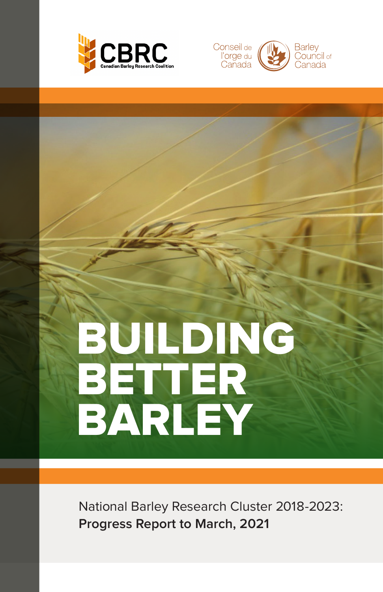



# BUILDING BETTER BARLEY

National Barley Research Cluster 2018-2023: **Progress Report to March, 2021**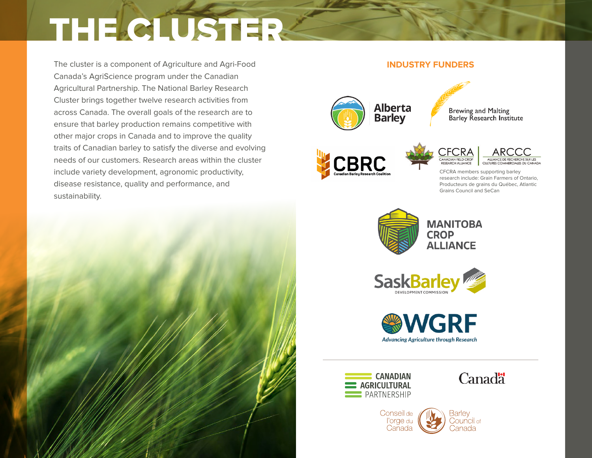# THE CLUSTER-

The cluster is a component of Agriculture and Agri-Food Canada's AgriScience program under the Canadian Agricultural Partnership. The National Barley Research Cluster brings together twelve research activities from across Canada. The overall goals of the research are to ensure that barley production remains competitive with other major crops in Canada and to improve the quality traits of Canadian barley to satisfy the diverse and evolving needs of our customers. Research areas within the cluster include variety development, agronomic productivity, disease resistance, quality and performance, and sustainability.





Canada

Danada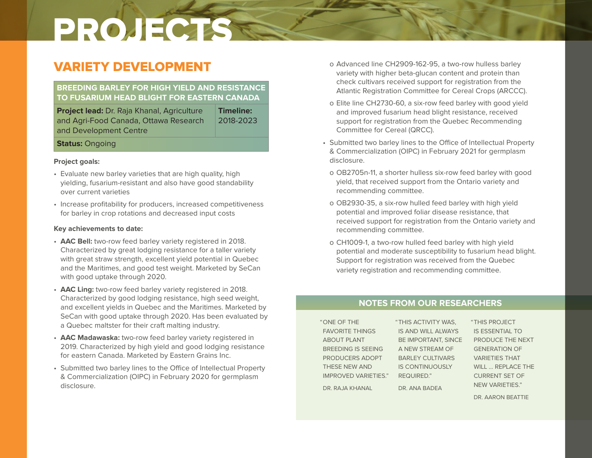# VARIETY DEVELOPMENT

# **BREEDING BARLEY FOR HIGH YIELD AND RESISTANCE TO FUSARIUM HEAD BLIGHT FOR EASTERN CANADA**

**Project lead:** Dr. Raja Khanal, Agriculture and Agri-Food Canada, Ottawa Research and Development Centre **Timeline:** 2018-2023

## **Status:** Ongoing

## **Project goals:**

- Evaluate new barley varieties that are high quality, high yielding, fusarium-resistant and also have good standability over current varieties
- Increase profitability for producers, increased competitiveness for barley in crop rotations and decreased input costs

## **Key achievements to date:**

- **AAC Bell:** two-row feed barley variety registered in 2018. Characterized by great lodging resistance for a taller variety with great straw strength, excellent yield potential in Quebec and the Maritimes, and good test weight. Marketed by SeCan with good uptake through 2020.
- **AAC Ling:** two-row feed barley variety registered in 2018. Characterized by good lodging resistance, high seed weight, and excellent yields in Quebec and the Maritimes. Marketed by SeCan with good uptake through 2020. Has been evaluated by a Quebec maltster for their craft malting industry.
- **AAC Madawaska:** two-row feed barley variety registered in 2019. Characterized by high yield and good lodging resistance for eastern Canada. Marketed by Eastern Grains Inc.
- Submitted two barley lines to the Office of Intellectual Property & Commercialization (OIPC) in February 2020 for germplasm disclosure.
- o Advanced line CH2909-162-95, a two-row hulless barley variety with higher beta-glucan content and protein than check cultivars received support for registration from the Atlantic Registration Committee for Cereal Crops (ARCCC).
- o Elite line CH2730-60, a six-row feed barley with good yield and improved fusarium head blight resistance, received support for registration from the Quebec Recommending Committee for Cereal (QRCC).
- Submitted two barley lines to the Office of Intellectual Property & Commercialization (OIPC) in February 2021 for germplasm disclosure.
- o OB2705n-11, a shorter hulless six-row feed barley with good yield, that received support from the Ontario variety and recommending committee.
- o OB2930-35, a six-row hulled feed barley with high yield potential and improved foliar disease resistance, that received support for registration from the Ontario variety and recommending committee.
- o CH1009-1, a two-row hulled feed barley with high yield potential and moderate susceptibility to fusarium head blight. Support for registration was received from the Quebec variety registration and recommending committee.

# **NOTES FROM OUR RESEARCHERS**

"ONE OF THE FAVORITE THINGS ABOUT PLANT BREEDING IS SEEING PRODUCERS ADOPT THESE NEW AND IMPROVED VARIETIES." DR. RAJA KHANAL

"THIS ACTIVITY WAS, IS AND WILL ALWAYS BE IMPORTANT, SINCE A NEW STREAM OF BARLEY CULTIVARS IS CONTINUOUSLY REQUIRED." DR. ANA BADEA

"THIS PROJECT IS ESSENTIAL TO PRODUCE THE NEXT GENERATION OF VARIETIES THAT WILL ... REPLACE THE CURRENT SET OF NEW VARIETIES."

DR. AARON BEATTIE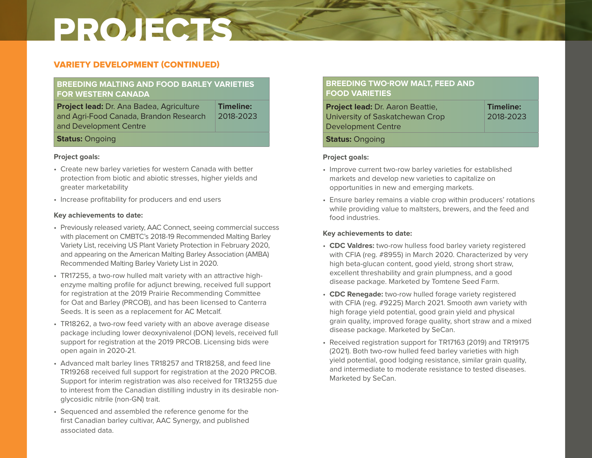## VARIETY DEVELOPMENT (CONTINUED)

## **BREEDING MALTING AND FOOD BARLEY VARIETIES FOR WESTERN CANADA**

**Project lead:** Dr. Ana Badea, Agriculture and Agri-Food Canada, Brandon Research and Development Centre **Timeline:** 2018-2023

## **Status:** Ongoing

### **Project goals:**

- Create new barley varieties for western Canada with better protection from biotic and abiotic stresses, higher yields and greater marketability
- Increase profitability for producers and end users

### **Key achievements to date:**

- Previously released variety, AAC Connect, seeing commercial success with placement on CMBTC's 2018-19 Recommended Malting Barley Variety List, receiving US Plant Variety Protection in February 2020, and appearing on the American Malting Barley Association (AMBA) Recommended Malting Barley Variety List in 2020.
- TR17255, a two-row hulled malt variety with an attractive highenzyme malting profile for adjunct brewing, received full support for registration at the 2019 Prairie Recommending Committee for Oat and Barley (PRCOB), and has been licensed to Canterra Seeds. It is seen as a replacement for AC Metcalf.
- TR18262, a two-row feed variety with an above average disease package including lower deoxynivalenol (DON) levels, received full support for registration at the 2019 PRCOB. Licensing bids were open again in 2020-21.
- Advanced malt barley lines TR18257 and TR18258, and feed line TR19268 received full support for registration at the 2020 PRCOB. Support for interim registration was also received for TR13255 due to interest from the Canadian distilling industry in its desirable nonglycosidic nitrile (non-GN) trait.
- Sequenced and assembled the reference genome for the first Canadian barley cultivar, AAC Synergy, and published associated data.

## **BREEDING TWO-ROW MALT, FEED AND FOOD VARIETIES**

| Project lead: Dr. Aaron Beattie,                      | <b>Timeline:</b> |
|-------------------------------------------------------|------------------|
| University of Saskatchewan Crop<br>Development Centre | 2018-2023        |
| <b>Status: Ongoing</b>                                |                  |

### **Project goals:**

- Improve current two-row barley varieties for established markets and develop new varieties to capitalize on opportunities in new and emerging markets.
- Ensure barley remains a viable crop within producers' rotations while providing value to maltsters, brewers, and the feed and food industries.

- **CDC Valdres:** two-row hulless food barley variety registered with CFIA (reg. #8955) in March 2020. Characterized by very high beta-glucan content, good yield, strong short straw, excellent threshability and grain plumpness, and a good disease package. Marketed by Tomtene Seed Farm.
- **CDC Renegade:** two-row hulled forage variety registered with CFIA (reg. #9225) March 2021. Smooth awn variety with high forage yield potential, good grain yield and physical grain quality, improved forage quality, short straw and a mixed disease package. Marketed by SeCan.
- Received registration support for TR17163 (2019) and TR19175 (2021). Both two-row hulled feed barley varieties with high yield potential, good lodging resistance, similar grain quality, and intermediate to moderate resistance to tested diseases. Marketed by SeCan.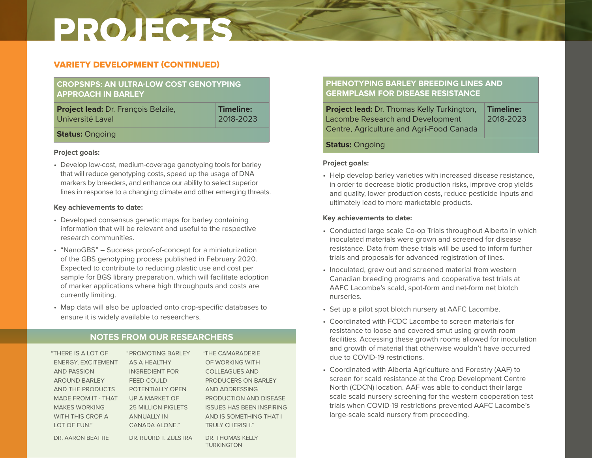## VARIETY DEVELOPMENT (CONTINUED)

# **CROPSNPS: AN ULTRA-LOW COST GENOTYPING APPROACH IN BARLEY**

**Project lead:** Dr. François Belzile, Université Laval

**Timeline:** 2018-2023

## **Status:** Ongoing

### **Project goals:**

• Develop low-cost, medium-coverage genotyping tools for barley that will reduce genotyping costs, speed up the usage of DNA markers by breeders, and enhance our ability to select superior lines in response to a changing climate and other emerging threats.

## **Key achievements to date:**

- Developed consensus genetic maps for barley containing information that will be relevant and useful to the respective research communities.
- "NanoGBS" Success proof-of-concept for a miniaturization of the GBS genotyping process published in February 2020. Expected to contribute to reducing plastic use and cost per sample for BGS library preparation, which will facilitate adoption of marker applications where high throughputs and costs are currently limiting.
- Map data will also be uploaded onto crop-specific databases to ensure it is widely available to researchers.

# **NOTES FROM OUR RESEARCHERS**

| "THERE IS A LOT OF         | <b>"PROMOTING BARLEY</b>  | "THE CAMARADERIE                      |
|----------------------------|---------------------------|---------------------------------------|
| <b>ENERGY, EXCITEMENT</b>  | AS A HEALTHY              | OF WORKING WITH                       |
| <b>AND PASSION</b>         | <b>INGREDIENT FOR</b>     | <b>COLLEAGUES AND</b>                 |
| <b>AROUND BARLEY</b>       | FEED COULD                | PRODUCERS ON BARLEY                   |
| AND THE PRODUCTS           | POTENTIALLY OPEN          | AND ADDRESSING                        |
| <b>MADE FROM IT - THAT</b> | UP A MARKET OF            | <b>PRODUCTION AND DISEASE</b>         |
| <b>MAKES WORKING</b>       | <b>25 MILLION PIGLETS</b> | <b>ISSUES HAS BEEN INSPIRING</b>      |
| WITH THIS CROP A           | <b>ANNUALLY IN</b>        | AND IS SOMETHING THAT I               |
| LOT OF FUN."               | CANADA ALONE."            | <b>TRULY CHERISH."</b>                |
| DR. AARON BEATTIE          | DR. RUURD T. ZIJLSTRA     | DR. THOMAS KELLY<br><b>TURKINGTON</b> |

# **PHENOTYPING BARLEY BREEDING LINES AND GERMPLASM FOR DISEASE RESISTANCE**

| <b>Project lead:</b> Dr. Thomas Kelly Turkington, | Timeline: |
|---------------------------------------------------|-----------|
| Lacombe Research and Development                  | 2018-2023 |
| Centre, Agriculture and Agri-Food Canada          |           |

## **Status:** Ongoing

## **Project goals:**

• Help develop barley varieties with increased disease resistance, in order to decrease biotic production risks, improve crop yields and quality, lower production costs, reduce pesticide inputs and ultimately lead to more marketable products.

- Conducted large scale Co-op Trials throughout Alberta in which inoculated materials were grown and screened for disease resistance. Data from these trials will be used to inform further trials and proposals for advanced registration of lines.
- Inoculated, grew out and screened material from western Canadian breeding programs and cooperative test trials at AAFC Lacombe's scald, spot-form and net-form net blotch nurseries.
- Set up a pilot spot blotch nursery at AAFC Lacombe.
- Coordinated with FCDC Lacombe to screen materials for resistance to loose and covered smut using growth room facilities. Accessing these growth rooms allowed for inoculation and growth of material that otherwise wouldn't have occurred due to COVID-19 restrictions.
- Coordinated with Alberta Agriculture and Forestry (AAF) to screen for scald resistance at the Crop Development Centre North (CDCN) location. AAF was able to conduct their large scale scald nursery screening for the western cooperation test trials when COVID-19 restrictions prevented AAFC Lacombe's large-scale scald nursery from proceeding.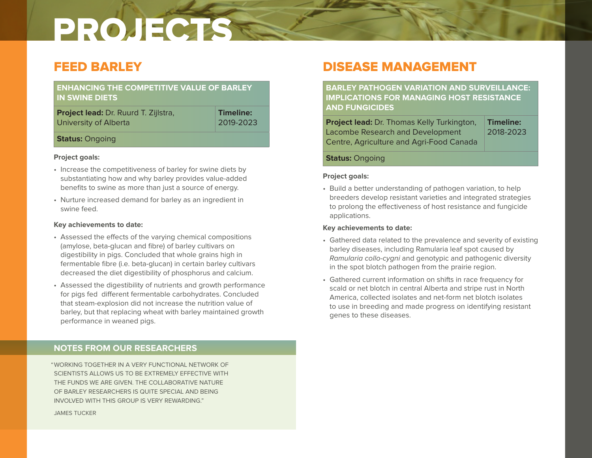# FEED BARLEY

| <b>ENHANCING THE COMPETITIVE VALUE OF BARLEY</b><br><b>IN SWINE DIETS</b> |  |
|---------------------------------------------------------------------------|--|
| ________________                                                          |  |

**Project lead:** Dr. Ruurd T. Zijlstra, University of Alberta

**Timeline:** 2019-2023

## **Status:** Ongoing

## **Project goals:**

- Increase the competitiveness of barley for swine diets by substantiating how and why barley provides value-added benefits to swine as more than just a source of energy.
- Nurture increased demand for barley as an ingredient in swine feed.

## **Key achievements to date:**

- Assessed the effects of the varying chemical compositions (amylose, beta-glucan and fibre) of barley cultivars on digestibility in pigs. Concluded that whole grains high in fermentable fibre (i.e. beta-glucan) in certain barley cultivars decreased the diet digestibility of phosphorus and calcium.
- Assessed the digestibility of nutrients and growth performance for pigs fed different fermentable carbohydrates. Concluded that steam-explosion did not increase the nutrition value of barley, but that replacing wheat with barley maintained growth performance in weaned pigs.

# **NOTES FROM OUR RESEARCHERS**

"WORKING TOGETHER IN A VERY FUNCTIONAL NETWORK OF SCIENTISTS ALLOWS US TO BE EXTREMELY EFFECTIVE WITH THE FUNDS WE ARE GIVEN. THE COLLABORATIVE NATURE OF BARLEY RESEARCHERS IS QUITE SPECIAL AND BEING INVOLVED WITH THIS GROUP IS VERY REWARDING."

JAMES TUCKER

# DISEASE MANAGEMENT

**BARLEY PATHOGEN VARIATION AND SURVEILLANCE: IMPLICATIONS FOR MANAGING HOST RESISTANCE AND FUNGICIDES**

| <b>Project lead:</b> Dr. Thomas Kelly Turkington, | Timeline: |
|---------------------------------------------------|-----------|
| Lacombe Research and Development                  | 2018-2023 |
| Centre, Agriculture and Agri-Food Canada          |           |

## **Status:** Ongoing

## **Project goals:**

• Build a better understanding of pathogen variation, to help breeders develop resistant varieties and integrated strategies to prolong the effectiveness of host resistance and fungicide applications.

- Gathered data related to the prevalence and severity of existing barley diseases, including Ramularia leaf spot caused by *Ramularia collo-cygni* and genotypic and pathogenic diversity in the spot blotch pathogen from the prairie region.
- Gathered current information on shifts in race frequency for scald or net blotch in central Alberta and stripe rust in North America, collected isolates and net-form net blotch isolates to use in breeding and made progress on identifying resistant genes to these diseases.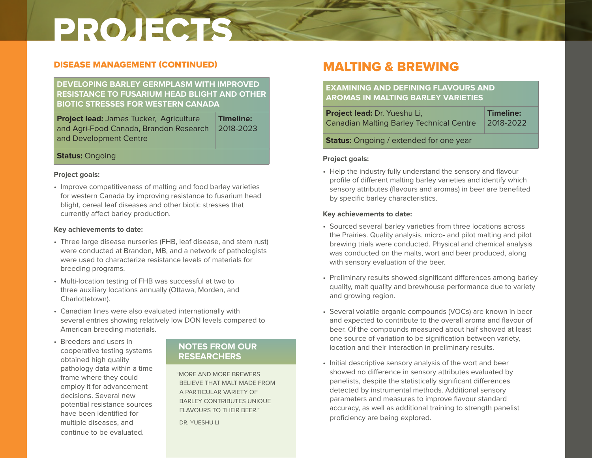# DISEASE MANAGEMENT (CONTINUED)

## **DEVELOPING BARLEY GERMPLASM WITH IMPROVED RESISTANCE TO FUSARIUM HEAD BLIGHT AND OTHER BIOTIC STRESSES FOR WESTERN CANADA**

**Project lead:** James Tucker, Agriculture and Agri-Food Canada, Brandon Research and Development Centre **Timeline:** 2018-2023

## **Status:** Ongoing

#### **Project goals:**

• Improve competitiveness of malting and food barley varieties for western Canada by improving resistance to fusarium head blight, cereal leaf diseases and other biotic stresses that currently affect barley production.

## **Key achievements to date:**

- Three large disease nurseries (FHB, leaf disease, and stem rust) were conducted at Brandon, MB, and a network of pathologists were used to characterize resistance levels of materials for breeding programs.
- Multi-location testing of FHB was successful at two to three auxiliary locations annually (Ottawa, Morden, and Charlottetown).
- Canadian lines were also evaluated internationally with several entries showing relatively low DON levels compared to American breeding materials.
- Breeders and users in cooperative testing systems obtained high quality pathology data within a time frame where they could employ it for advancement decisions. Several new potential resistance sources have been identified for multiple diseases, and continue to be evaluated.

# **NOTES FROM OUR RESEARCHERS**

"MORE AND MORE BREWERS BELIEVE THAT MALT MADE FROM A PARTICULAR VARIETY OF BARLEY CONTRIBUTES UNIQUE FLAVOURS TO THEIR BEER."

DR. YUESHU LL

# MALTING & BREWING

# **EXAMINING AND DEFINING FLAVOURS AND AROMAS IN MALTING BARLEY VARIETIES**

| Project lead: Dr. Yueshu Li,                    | Timeline: |
|-------------------------------------------------|-----------|
| <b>Canadian Malting Barley Technical Centre</b> | 2018-2022 |
| <b>Status:</b> Ongoing / extended for one year  |           |

### **Project goals:**

• Help the industry fully understand the sensory and flavour profile of different malting barley varieties and identify which sensory attributes (flavours and aromas) in beer are benefited by specific barley characteristics.

- Sourced several barley varieties from three locations across the Prairies. Quality analysis, micro- and pilot malting and pilot brewing trials were conducted. Physical and chemical analysis was conducted on the malts, wort and beer produced, along with sensory evaluation of the beer.
- Preliminary results showed significant differences among barley quality, malt quality and brewhouse performance due to variety and growing region.
- Several volatile organic compounds (VOCs) are known in beer and expected to contribute to the overall aroma and flavour of beer. Of the compounds measured about half showed at least one source of variation to be signification between variety, location and their interaction in preliminary results.
- Initial descriptive sensory analysis of the wort and beer showed no difference in sensory attributes evaluated by panelists, despite the statistically significant differences detected by instrumental methods. Additional sensory parameters and measures to improve flavour standard accuracy, as well as additional training to strength panelist proficiency are being explored.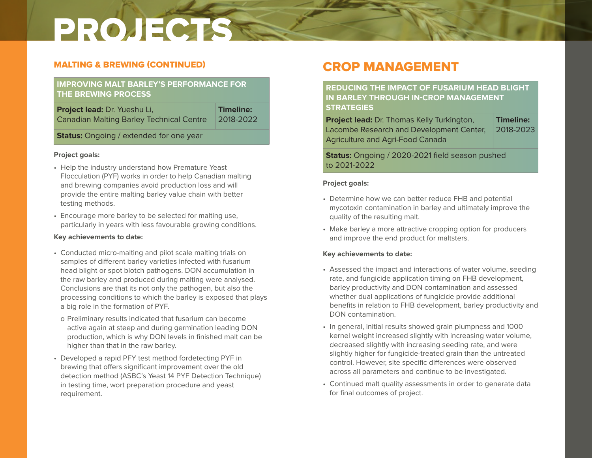# MALTING & BREWING (CONTINUED)

# **IMPROVING MALT BARLEY'S PERFORMANCE FOR THE BREWING PROCESS**

**Project lead:** Dr. Yueshu Li, Canadian Malting Barley Technical Centre **Timeline:** 2018-2022

**Status:** Ongoing / extended for one year

## **Project goals:**

- Help the industry understand how Premature Yeast Flocculation (PYF) works in order to help Canadian malting and brewing companies avoid production loss and will provide the entire malting barley value chain with better testing methods.
- Encourage more barley to be selected for malting use, particularly in years with less favourable growing conditions.

## **Key achievements to date:**

- Conducted micro-malting and pilot scale malting trials on samples of different barley varieties infected with fusarium head blight or spot blotch pathogens. DON accumulation in the raw barley and produced during malting were analysed. Conclusions are that its not only the pathogen, but also the processing conditions to which the barley is exposed that plays a big role in the formation of PYF.
- o Preliminary results indicated that fusarium can become active again at steep and during germination leading DON production, which is why DON levels in finished malt can be higher than that in the raw barley.
- Developed a rapid PFY test method fordetecting PYF in brewing that offers significant improvement over the old detection method (ASBC's Yeast 14 PYF Detection Technique) in testing time, wort preparation procedure and yeast requirement.

# CROP MANAGEMENT

**REDUCING THE IMPACT OF FUSARIUM HEAD BLIGHT IN BARLEY THROUGH IN-CROP MANAGEMENT STRATEGIES**

| <b>Project lead:</b> Dr. Thomas Kelly Turkington, | Timeline: |
|---------------------------------------------------|-----------|
| Lacombe Research and Development Center,          | 2018-2023 |
| <b>Agriculture and Agri-Food Canada</b>           |           |

**Status:** Ongoing / 2020-2021 field season pushed to 2021-2022

## **Project goals:**

- Determine how we can better reduce FHB and potential mycotoxin contamination in barley and ultimately improve the quality of the resulting malt.
- Make barley a more attractive cropping option for producers and improve the end product for maltsters.

- Assessed the impact and interactions of water volume, seeding rate, and fungicide application timing on FHB development, barley productivity and DON contamination and assessed whether dual applications of fungicide provide additional benefits in relation to FHB development, barley productivity and DON contamination.
- In general, initial results showed grain plumpness and 1000 kernel weight increased slightly with increasing water volume, decreased slightly with increasing seeding rate, and were slightly higher for fungicide-treated grain than the untreated control. However, site specific differences were observed across all parameters and continue to be investigated.
- Continued malt quality assessments in order to generate data for final outcomes of project.